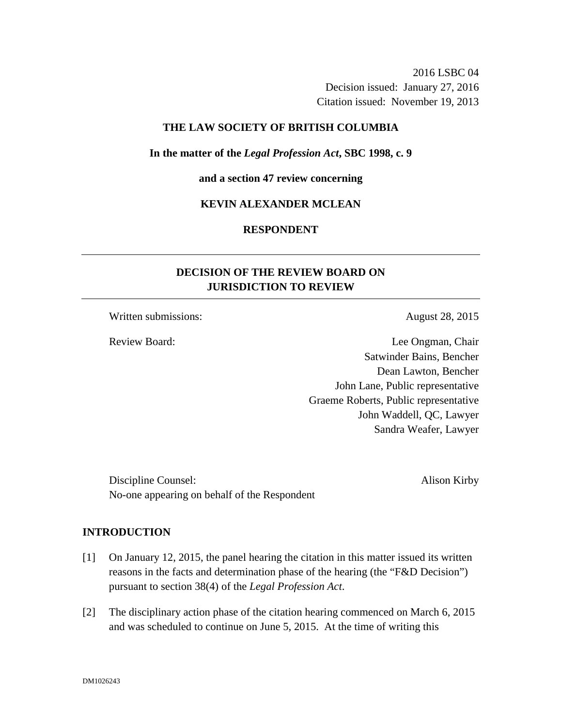2016 LSBC 04 Decision issued: January 27, 2016 Citation issued: November 19, 2013

# **THE LAW SOCIETY OF BRITISH COLUMBIA**

#### **In the matter of the** *Legal Profession Act***, SBC 1998, c. 9**

#### **and a section 47 review concerning**

## **KEVIN ALEXANDER MCLEAN**

# **RESPONDENT**

# **DECISION OF THE REVIEW BOARD ON JURISDICTION TO REVIEW**

Written submissions: August 28, 2015

Review Board: Lee Ongman, Chair Satwinder Bains, Bencher Dean Lawton, Bencher John Lane, Public representative Graeme Roberts, Public representative John Waddell, QC, Lawyer Sandra Weafer, Lawyer

Discipline Counsel: Alison Kirby No-one appearing on behalf of the Respondent

#### **INTRODUCTION**

- [1] On January 12, 2015, the panel hearing the citation in this matter issued its written reasons in the facts and determination phase of the hearing (the "F&D Decision") pursuant to section 38(4) of the *Legal Profession Act*.
- [2] The disciplinary action phase of the citation hearing commenced on March 6, 2015 and was scheduled to continue on June 5, 2015. At the time of writing this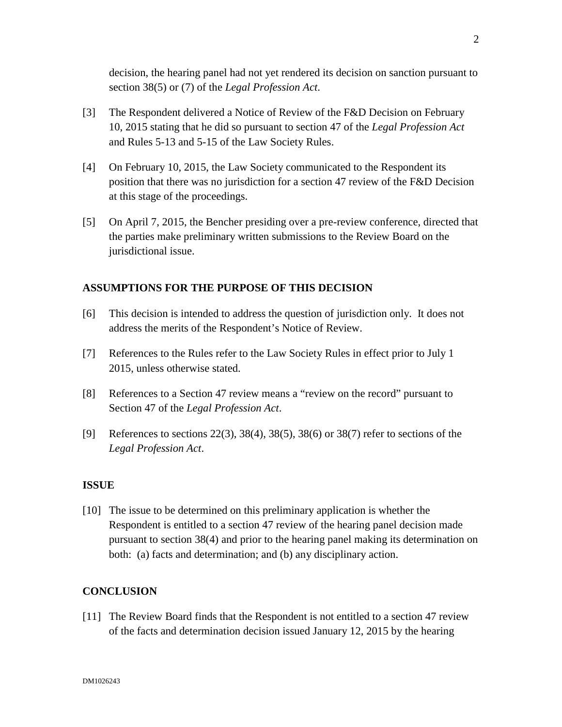decision, the hearing panel had not yet rendered its decision on sanction pursuant to section 38(5) or (7) of the *Legal Profession Act*.

- [3] The Respondent delivered a Notice of Review of the F&D Decision on February 10, 2015 stating that he did so pursuant to section 47 of the *Legal Profession Act* and Rules 5-13 and 5-15 of the Law Society Rules.
- [4] On February 10, 2015, the Law Society communicated to the Respondent its position that there was no jurisdiction for a section 47 review of the F&D Decision at this stage of the proceedings.
- [5] On April 7, 2015, the Bencher presiding over a pre-review conference, directed that the parties make preliminary written submissions to the Review Board on the jurisdictional issue.

#### **ASSUMPTIONS FOR THE PURPOSE OF THIS DECISION**

- [6] This decision is intended to address the question of jurisdiction only. It does not address the merits of the Respondent's Notice of Review.
- [7] References to the Rules refer to the Law Society Rules in effect prior to July 1 2015, unless otherwise stated.
- [8] References to a Section 47 review means a "review on the record" pursuant to Section 47 of the *Legal Profession Act*.
- [9] References to sections 22(3), 38(4), 38(5), 38(6) or 38(7) refer to sections of the *Legal Profession Act*.

# **ISSUE**

[10] The issue to be determined on this preliminary application is whether the Respondent is entitled to a section 47 review of the hearing panel decision made pursuant to section 38(4) and prior to the hearing panel making its determination on both: (a) facts and determination; and (b) any disciplinary action.

### **CONCLUSION**

[11] The Review Board finds that the Respondent is not entitled to a section 47 review of the facts and determination decision issued January 12, 2015 by the hearing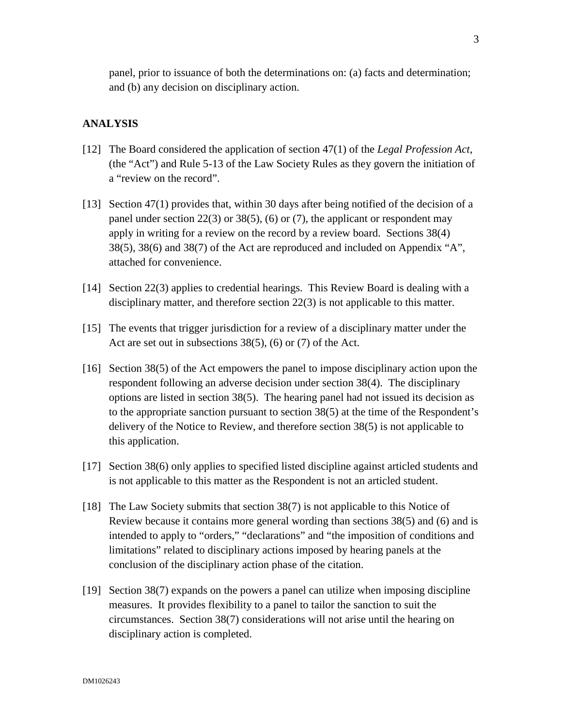panel, prior to issuance of both the determinations on: (a) facts and determination; and (b) any decision on disciplinary action.

# **ANALYSIS**

- [12] The Board considered the application of section 47(1) of the *Legal Profession Act*, (the "Act") and Rule 5-13 of the Law Society Rules as they govern the initiation of a "review on the record".
- [13] Section 47(1) provides that, within 30 days after being notified of the decision of a panel under section 22(3) or 38(5), (6) or (7), the applicant or respondent may apply in writing for a review on the record by a review board. Sections 38(4) 38(5), 38(6) and 38(7) of the Act are reproduced and included on Appendix "A", attached for convenience.
- [14] Section 22(3) applies to credential hearings. This Review Board is dealing with a disciplinary matter, and therefore section 22(3) is not applicable to this matter.
- [15] The events that trigger jurisdiction for a review of a disciplinary matter under the Act are set out in subsections 38(5), (6) or (7) of the Act.
- [16] Section 38(5) of the Act empowers the panel to impose disciplinary action upon the respondent following an adverse decision under section 38(4). The disciplinary options are listed in section 38(5). The hearing panel had not issued its decision as to the appropriate sanction pursuant to section 38(5) at the time of the Respondent's delivery of the Notice to Review, and therefore section 38(5) is not applicable to this application.
- [17] Section 38(6) only applies to specified listed discipline against articled students and is not applicable to this matter as the Respondent is not an articled student.
- [18] The Law Society submits that section 38(7) is not applicable to this Notice of Review because it contains more general wording than sections 38(5) and (6) and is intended to apply to "orders," "declarations" and "the imposition of conditions and limitations" related to disciplinary actions imposed by hearing panels at the conclusion of the disciplinary action phase of the citation.
- [19] Section 38(7) expands on the powers a panel can utilize when imposing discipline measures. It provides flexibility to a panel to tailor the sanction to suit the circumstances. Section 38(7) considerations will not arise until the hearing on disciplinary action is completed.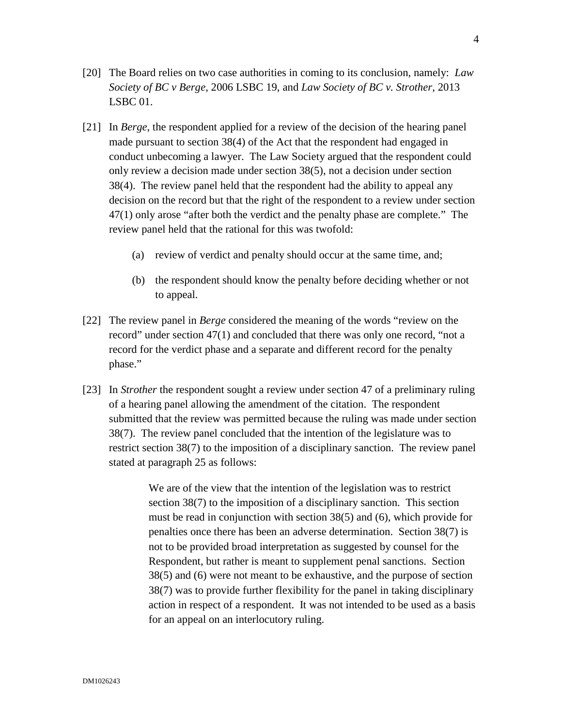- [20] The Board relies on two case authorities in coming to its conclusion, namely: *Law Society of BC v Berge*, 2006 LSBC 19, and *Law Society of BC v. Strother*, 2013 LSBC 01.
- [21] In *Berge*, the respondent applied for a review of the decision of the hearing panel made pursuant to section 38(4) of the Act that the respondent had engaged in conduct unbecoming a lawyer. The Law Society argued that the respondent could only review a decision made under section 38(5), not a decision under section 38(4). The review panel held that the respondent had the ability to appeal any decision on the record but that the right of the respondent to a review under section 47(1) only arose "after both the verdict and the penalty phase are complete." The review panel held that the rational for this was twofold:
	- (a) review of verdict and penalty should occur at the same time, and;
	- (b) the respondent should know the penalty before deciding whether or not to appeal.
- [22] The review panel in *Berge* considered the meaning of the words "review on the record" under section 47(1) and concluded that there was only one record, "not a record for the verdict phase and a separate and different record for the penalty phase."
- [23] In *Strother* the respondent sought a review under section 47 of a preliminary ruling of a hearing panel allowing the amendment of the citation. The respondent submitted that the review was permitted because the ruling was made under section 38(7). The review panel concluded that the intention of the legislature was to restrict section 38(7) to the imposition of a disciplinary sanction. The review panel stated at paragraph 25 as follows:

We are of the view that the intention of the legislation was to restrict section 38(7) to the imposition of a disciplinary sanction. This section must be read in conjunction with section 38(5) and (6), which provide for penalties once there has been an adverse determination. Section 38(7) is not to be provided broad interpretation as suggested by counsel for the Respondent, but rather is meant to supplement penal sanctions. Section 38(5) and (6) were not meant to be exhaustive, and the purpose of section 38(7) was to provide further flexibility for the panel in taking disciplinary action in respect of a respondent. It was not intended to be used as a basis for an appeal on an interlocutory ruling.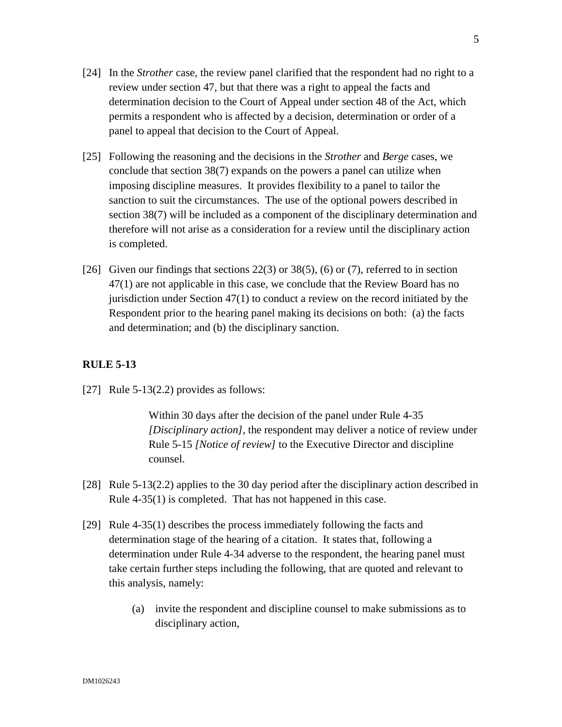- [24] In the *Strother* case, the review panel clarified that the respondent had no right to a review under section 47, but that there was a right to appeal the facts and determination decision to the Court of Appeal under section 48 of the Act, which permits a respondent who is affected by a decision, determination or order of a panel to appeal that decision to the Court of Appeal.
- [25] Following the reasoning and the decisions in the *Strother* and *Berge* cases, we conclude that section 38(7) expands on the powers a panel can utilize when imposing discipline measures. It provides flexibility to a panel to tailor the sanction to suit the circumstances. The use of the optional powers described in section 38(7) will be included as a component of the disciplinary determination and therefore will not arise as a consideration for a review until the disciplinary action is completed.
- [26] Given our findings that sections  $22(3)$  or  $38(5)$ , (6) or (7), referred to in section 47(1) are not applicable in this case, we conclude that the Review Board has no jurisdiction under Section 47(1) to conduct a review on the record initiated by the Respondent prior to the hearing panel making its decisions on both: (a) the facts and determination; and (b) the disciplinary sanction.

# **RULE 5-13**

[27] Rule 5-13(2.2) provides as follows:

Within 30 days after the decision of the panel under Rule 4-35 *[Disciplinary action]*, the respondent may deliver a notice of review under Rule 5-15 *[Notice of review]* to the Executive Director and discipline counsel.

- [28] Rule 5-13(2.2) applies to the 30 day period after the disciplinary action described in Rule 4-35(1) is completed. That has not happened in this case.
- [29] Rule 4-35(1) describes the process immediately following the facts and determination stage of the hearing of a citation. It states that, following a determination under Rule 4-34 adverse to the respondent, the hearing panel must take certain further steps including the following, that are quoted and relevant to this analysis, namely:
	- (a) invite the respondent and discipline counsel to make submissions as to disciplinary action,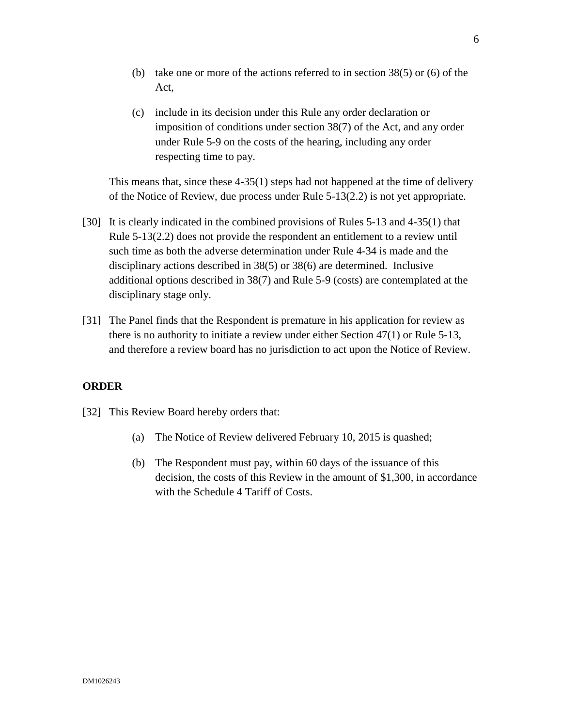- (b) take one or more of the actions referred to in section 38(5) or (6) of the Act,
- (c) include in its decision under this Rule any order declaration or imposition of conditions under section 38(7) of the Act, and any order under Rule 5-9 on the costs of the hearing, including any order respecting time to pay.

This means that, since these 4-35(1) steps had not happened at the time of delivery of the Notice of Review, due process under Rule 5-13(2.2) is not yet appropriate.

- [30] It is clearly indicated in the combined provisions of Rules 5-13 and 4-35(1) that Rule 5-13(2.2) does not provide the respondent an entitlement to a review until such time as both the adverse determination under Rule 4-34 is made and the disciplinary actions described in 38(5) or 38(6) are determined. Inclusive additional options described in 38(7) and Rule 5-9 (costs) are contemplated at the disciplinary stage only.
- [31] The Panel finds that the Respondent is premature in his application for review as there is no authority to initiate a review under either Section 47(1) or Rule 5-13, and therefore a review board has no jurisdiction to act upon the Notice of Review.

# **ORDER**

- [32] This Review Board hereby orders that:
	- (a) The Notice of Review delivered February 10, 2015 is quashed;
	- (b) The Respondent must pay, within 60 days of the issuance of this decision, the costs of this Review in the amount of \$1,300, in accordance with the Schedule 4 Tariff of Costs.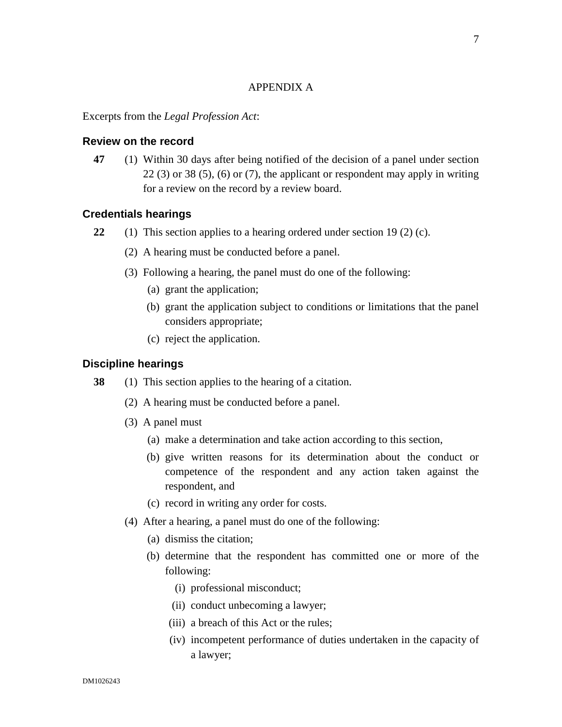#### APPENDIX A

Excerpts from the *Legal Profession Act*:

## **Review on the record**

**47** (1) Within 30 days after being notified of the decision of a panel under section  $22$  (3) or 38 (5), (6) or (7), the applicant or respondent may apply in writing for a review on the record by a review board.

#### **Credentials hearings**

- **22** (1) This section applies to a hearing ordered under section 19 (2) (c).
	- (2) A hearing must be conducted before a panel.
	- (3) Following a hearing, the panel must do one of the following:
		- (a) grant the application;
		- (b) grant the application subject to conditions or limitations that the panel considers appropriate;
		- (c) reject the application.

### **Discipline hearings**

- **38** (1) This section applies to the hearing of a citation.
	- (2) A hearing must be conducted before a panel.
	- (3) A panel must
		- (a) make a determination and take action according to this section,
		- (b) give written reasons for its determination about the conduct or competence of the respondent and any action taken against the respondent, and
		- (c) record in writing any order for costs.
	- (4) After a hearing, a panel must do one of the following:
		- (a) dismiss the citation;
		- (b) determine that the respondent has committed one or more of the following:
			- (i) professional misconduct;
			- (ii) conduct unbecoming a lawyer;
			- (iii) a breach of this Act or the rules;
			- (iv) incompetent performance of duties undertaken in the capacity of a lawyer;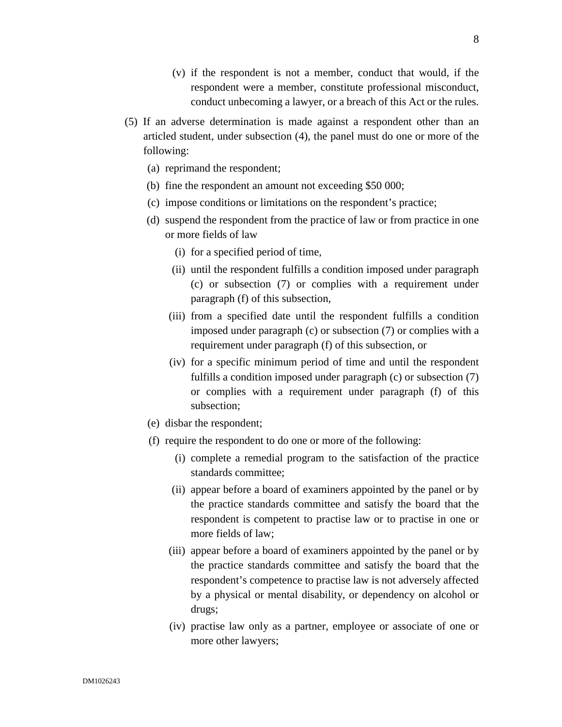- (v) if the respondent is not a member, conduct that would, if the respondent were a member, constitute professional misconduct, conduct unbecoming a lawyer, or a breach of this Act or the rules.
- (5) If an adverse determination is made against a respondent other than an articled student, under subsection (4), the panel must do one or more of the following:
	- (a) reprimand the respondent;
	- (b) fine the respondent an amount not exceeding \$50 000;
	- (c) impose conditions or limitations on the respondent's practice;
	- (d) suspend the respondent from the practice of law or from practice in one or more fields of law
		- (i) for a specified period of time,
		- (ii) until the respondent fulfills a condition imposed under paragraph (c) or subsection (7) or complies with a requirement under paragraph (f) of this subsection,
		- (iii) from a specified date until the respondent fulfills a condition imposed under paragraph (c) or subsection (7) or complies with a requirement under paragraph (f) of this subsection, or
		- (iv) for a specific minimum period of time and until the respondent fulfills a condition imposed under paragraph (c) or subsection (7) or complies with a requirement under paragraph (f) of this subsection;
	- (e) disbar the respondent;
	- (f) require the respondent to do one or more of the following:
		- (i) complete a remedial program to the satisfaction of the practice standards committee;
		- (ii) appear before a board of examiners appointed by the panel or by the practice standards committee and satisfy the board that the respondent is competent to practise law or to practise in one or more fields of law;
		- (iii) appear before a board of examiners appointed by the panel or by the practice standards committee and satisfy the board that the respondent's competence to practise law is not adversely affected by a physical or mental disability, or dependency on alcohol or drugs;
		- (iv) practise law only as a partner, employee or associate of one or more other lawyers;